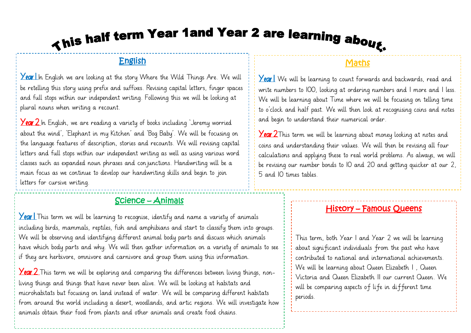# This half term Year 1 and Year 2 are learning about.

### English

**Year In** English we are looking at the story Where the Wild Things Are. We will be retelling this story using prefix and suffixes. Revising capital letters, finger spaces and full stops within our independent writing. Following this we will be looking at plural nouns when writing a recount.

**Year 2** In English, we are reading a variety of books including Jeremy worried about the wind', 'Elephant in my Kitchen' and 'Bog Baby'. We will be focusing on the language features of description, stories and recounts. We will revising capital letters and full stops within our independent writing as well as using various word classes such as expanded noun phrases and conjunctions. Handwriting will be a main focus as we continue to develop our handwriting skills and begin to join letters for cursive writing.

### Science – Animals

**Year** This term we will be learning to recognise, identify and name a variety of animals including birds, mammals, reptiles, fish and amphibians and start to classify them into groups. We will be observing and identifying different animal body parts and discuss which animals have which body parts and why. We will then gather information on a variety of animals to see if they are herbivore, omnivore and carnivore and group them using this information.

**Year 2** This term we will be exploring and comparing the differences between living things, nonliving things and things that have never been alive. We will be looking at habitats and microhabitats but focusing on land instead of water. We will be comparing different habitats from around the world including a desert, woodlands, and artic regions. We will investigate how animals obtain their food from plants and other animals and create food chains.

### <u>Maths</u>

Year | We will be learning to count forwards and backwards, read and write numbers to 100, looking at ordering numbers and 1 more and 1 less. We will be learning about Time where we will be focusing on telling time to o'clock and half past. We will then look at recognising coins and notes and begin to understand their numerical order.

**Year 2**This term we will be learning about money looking at notes and coins and understanding their values. We will then be revising all four calculations and applying these to real world problems. As always, we will be revising our number bonds to 10 and 20 and getting quicker at our 2, 5 and 10 times tables.

### History – Famous Queens

This term, both Year 1 and Year 2 we will be learning about significant individuals from the past who have contributed to national and international achievements. We will be learning about Queen Elizabeth 1 , Queen Victoria and Queen Elizabeth 11 our current Queen. We will be comparing aspects of life in different time periods.